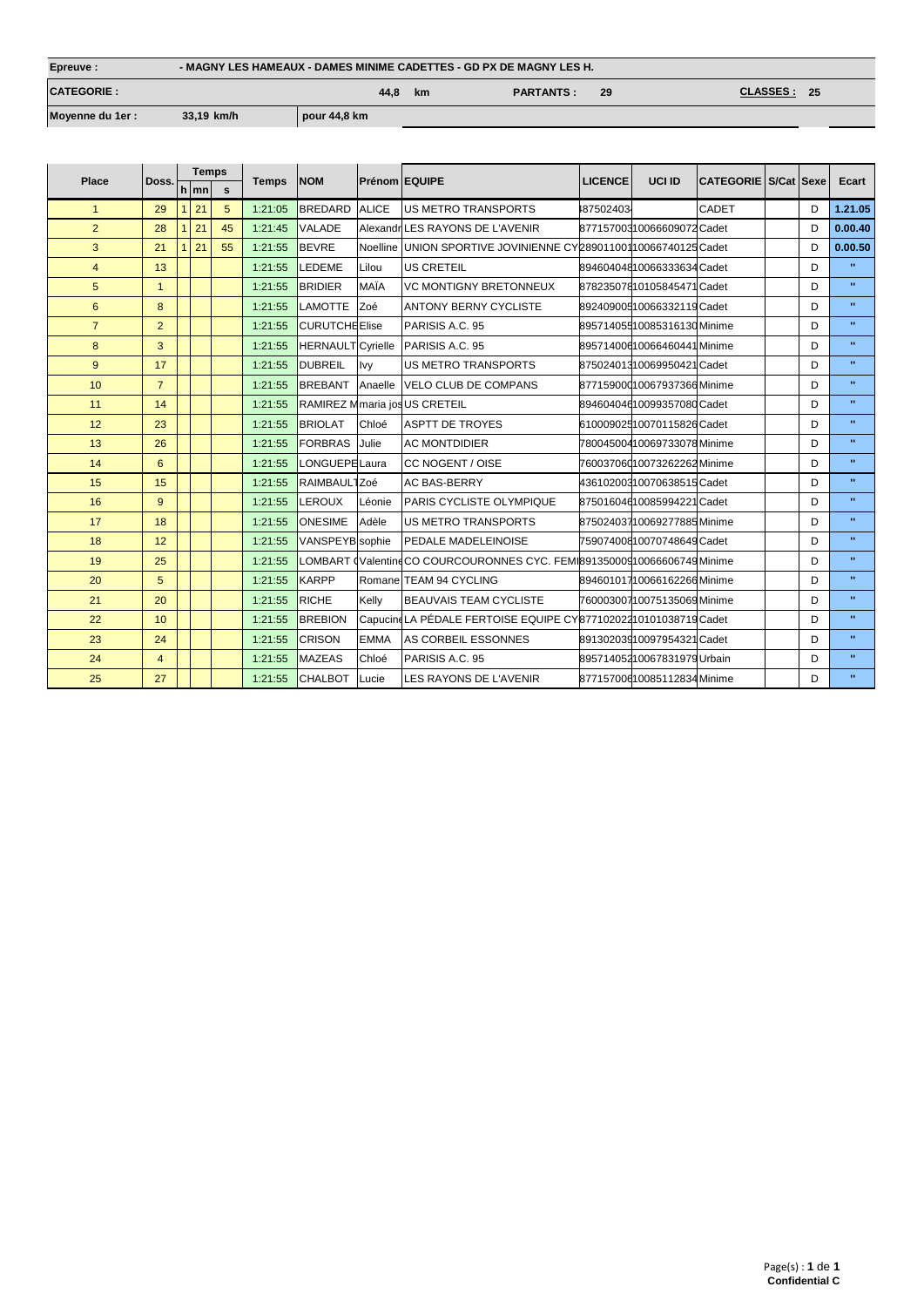| Epreuve:           | - MAGNY LES HAMEAUX - DAMES MINIME CADETTES - GD PX DE MAGNY LES H. |              |    |                  |    |                          |  |  |  |
|--------------------|---------------------------------------------------------------------|--------------|----|------------------|----|--------------------------|--|--|--|
| <b>CATEGORIE :</b> |                                                                     | 44.8         | km | <b>PARTANTS:</b> | 29 | <b>CLASSES :</b><br>- 25 |  |  |  |
| Moyenne du 1er :   | 33,19 km/h                                                          | pour 44,8 km |    |                  |    |                          |  |  |  |

|                 |                 |              | <b>Temps</b> |          |              | <b>NOM</b>               | <b>Prénom EQUIPE</b> |                                                                         | <b>LICENCE</b> | UCI ID                      | CATEGORIE S/Cat Sexe |   | Ecart        |
|-----------------|-----------------|--------------|--------------|----------|--------------|--------------------------|----------------------|-------------------------------------------------------------------------|----------------|-----------------------------|----------------------|---|--------------|
| <b>Place</b>    | Doss.           | h mn         |              | <b>S</b> | <b>Temps</b> |                          |                      |                                                                         |                |                             |                      |   |              |
| $\mathbf{1}$    | 29              | $\mathbf{1}$ | 21           | 5        | 1:21:05      | <b>BREDARD</b>           | <b>ALICE</b>         | <b>IUS METRO TRANSPORTS</b>                                             | 187502403      |                             | <b>CADET</b>         | D | 1.21.05      |
| $\overline{2}$  | 28              |              | 21           | 45       | 1:21:45      | <b>VALADE</b>            |                      | Alexandr LES RAYONS DE L'AVENIR                                         |                | 87715700310066609072 Cadet  |                      | D | 0.00.40      |
| 3               | 21              |              | 21           | 55       | 1:21:55      | <b>BEVRE</b>             |                      | Noelline UNION SPORTIVE JOVINIENNE CY28901100110066740125 Cadet         |                |                             |                      | D | 0.00.50      |
| $\overline{4}$  | 13              |              |              |          | 1:21:55      | LEDEME                   | Lilou                | <b>US CRETEIL</b>                                                       |                | 89460404810066333634 Cadet  |                      | D | $\mathbf{u}$ |
| $5\phantom{.0}$ | $\mathbf{1}$    |              |              |          | 1:21:55      | <b>BRIDIER</b>           | MAÏA                 | VC MONTIGNY BRETONNEUX                                                  |                | 87823507810105845471 Cadet  |                      | D | $\mathbf{u}$ |
| 6               | 8               |              |              |          | 1:21:55      | <b>LAMOTTE</b>           | Zoé                  | <b>ANTONY BERNY CYCLISTE</b>                                            |                | 89240900510066332119 Cadet  |                      | D | $\mathbf{u}$ |
| $\overline{7}$  | $\overline{2}$  |              |              |          | 1:21:55      | <b>CURUTCHE Elise</b>    |                      | PARISIS A.C. 95                                                         |                | 89571405510085316130 Minime |                      | D | $\mathbf{u}$ |
| 8               | 3               |              |              |          | 1:21:55      | <b>HERNAULT</b> Cyrielle |                      | PARISIS A.C. 95                                                         |                | 89571400610066460441 Minime |                      | D | $\mathbf{u}$ |
| 9               | 17              |              |              |          | 1:21:55      | <b>DUBREIL</b>           | Ivy                  | <b>IUS METRO TRANSPORTS</b>                                             |                | 87502401310069950421Cadet   |                      | D | $\mathbf{u}$ |
| 10              | $\overline{7}$  |              |              |          | 1:21:55      | <b>BREBANT</b>           | Anaelle              | VELO CLUB DE COMPANS                                                    |                | 87715900010067937366Minime  |                      | D | $\mathbf{u}$ |
| 11              | 14              |              |              |          | 1:21:55      |                          |                      | RAMIREZ Mmaria jos US CRETEIL                                           |                | 89460404610099357080Cadet   |                      | D | $\mathbf{u}$ |
| 12              | 23              |              |              |          | 1:21:55      | <b>BRIOLAT</b>           | Chloé                | <b>ASPTT DE TROYES</b>                                                  |                | 61000902510070115826 Cadet  |                      | D | $\mathbf{u}$ |
| 13              | 26              |              |              |          | 1:21:55      | <b>FORBRAS</b>           | Julie                | <b>AC MONTDIDIER</b>                                                    |                | 78004500410069733078Minime  |                      | D | $\mathbf{u}$ |
| 14              | $6\overline{6}$ |              |              |          | 1:21:55      | LONGUEPE Laura           |                      | <b>CC NOGENT / OISE</b>                                                 |                | 76003706010073262262Minime  |                      | D | $\mathbf{u}$ |
| 15              | 15              |              |              |          | 1:21:55      | RAIMBAUL1Zoé             |                      | <b>AC BAS-BERRY</b>                                                     |                | 43610200310070638515Cadet   |                      | D | $\mathbf{u}$ |
| 16              | 9               |              |              |          | 1:21:55      | <b>LEROUX</b>            | Léonie               | <b>PARIS CYCLISTE OLYMPIQUE</b>                                         |                | 87501604610085994221Cadet   |                      | D | $\mathbf{u}$ |
| 17              | 18              |              |              |          | 1:21:55      | <b>ONESIME</b>           | Adèle                | <b>IUS METRO TRANSPORTS</b>                                             |                | 87502403710069277885Minime  |                      | D | $\mathbf{u}$ |
| 18              | 12              |              |              |          | 1:21:55      | VANSPEYB sophie          |                      | <b>PEDALE MADELEINOISE</b>                                              |                | 75907400810070748649 Cadet  |                      | D | $\mathbf{u}$ |
| 19              | 25              |              |              |          | 1:21:55      |                          |                      | LOMBART (Valentin CO COURCOURONNES CYC. FEMI89135000910066606749 Minime |                |                             |                      | D | $\mathbf{u}$ |
| 20              | 5               |              |              |          | 1:21:55      | <b>KARPP</b>             |                      | Romane TEAM 94 CYCLING                                                  |                | 89460101710066162266 Minime |                      | D | $\mathbf{u}$ |
| 21              | 20              |              |              |          | 1:21:55      | <b>RICHE</b>             | Kelly                | <b>BEAUVAIS TEAM CYCLISTE</b>                                           |                | 76000300710075135069 Minime |                      | D | $\mathbf{u}$ |
| 22              | 10              |              |              |          | 1:21:55      | <b>BREBION</b>           |                      | CapucineLA PÉDALE FERTOISE EQUIPE CY87710202210101038719 Cadet          |                |                             |                      | D | $\mathbf{u}$ |
| 23              | 24              |              |              |          | 1:21:55      | <b>CRISON</b>            | <b>EMMA</b>          | AS CORBEIL ESSONNES                                                     |                | 89130203910097954321 Cadet  |                      | D | $\mathbf{u}$ |
| 24              | $\overline{4}$  |              |              |          | 1:21:55      | <b>MAZEAS</b>            | Chloé                | PARISIS A.C. 95                                                         |                | 89571405210067831979 Urbain |                      | D | $\mathbf{u}$ |
| 25              | 27              |              |              |          | 1:21:55      | <b>CHALBOT</b>           | Lucie                | LES RAYONS DE L'AVENIR                                                  |                | 87715700610085112834 Minime |                      | D | $\mathbf{u}$ |